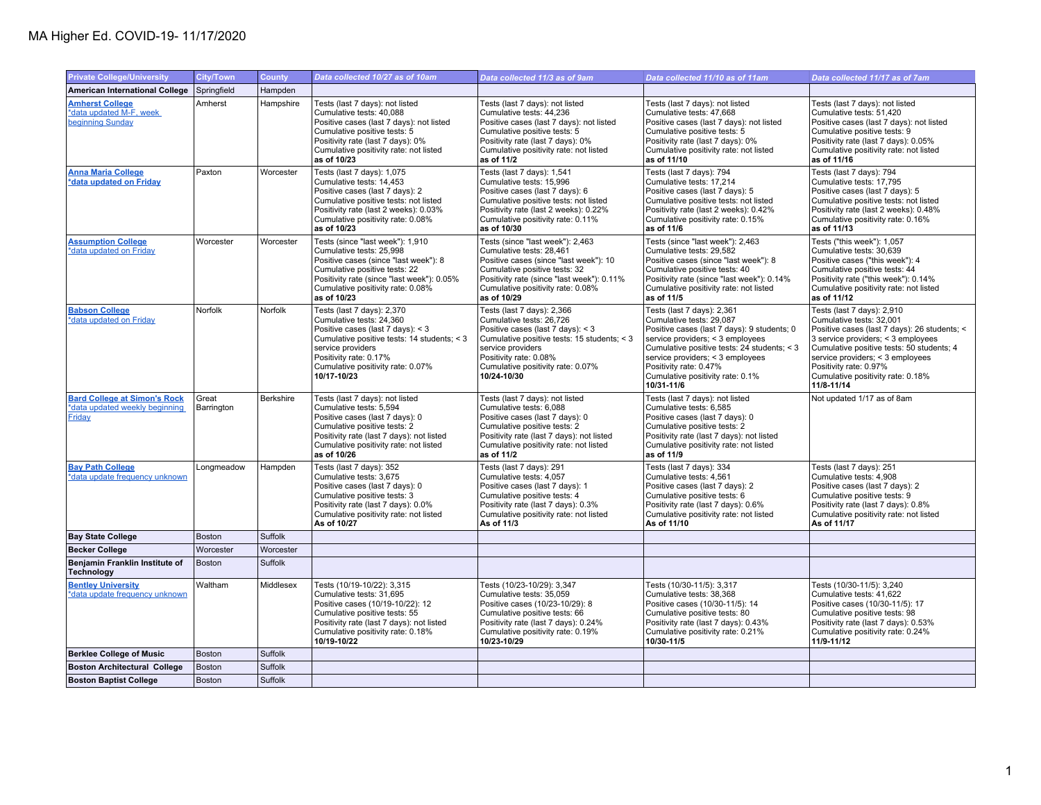## MA Higher Ed. COVID-19- 11/17/2020

| <b>Private College/University</b>                                               | <b>City/Town</b>    | <b>County</b> | Data collected 10/27 as of 10am                                                                                                                                                                                                               | Data collected 11/3 as of 9am                                                                                                                                                                                                                 | Data collected 11/10 as of 11am                                                                                                                                                                                                                                                                          | Data collected 11/17 as of 7am                                                                                                                                                                                                                                                                             |
|---------------------------------------------------------------------------------|---------------------|---------------|-----------------------------------------------------------------------------------------------------------------------------------------------------------------------------------------------------------------------------------------------|-----------------------------------------------------------------------------------------------------------------------------------------------------------------------------------------------------------------------------------------------|----------------------------------------------------------------------------------------------------------------------------------------------------------------------------------------------------------------------------------------------------------------------------------------------------------|------------------------------------------------------------------------------------------------------------------------------------------------------------------------------------------------------------------------------------------------------------------------------------------------------------|
| <b>American International College</b>                                           | Springfield         | Hampden       |                                                                                                                                                                                                                                               |                                                                                                                                                                                                                                               |                                                                                                                                                                                                                                                                                                          |                                                                                                                                                                                                                                                                                                            |
| <b>Amherst College</b><br>*data updated M-F, week<br>beginning Sunday           | Amherst             | Hampshire     | Tests (last 7 days): not listed<br>Cumulative tests: 40,088<br>Positive cases (last 7 days): not listed<br>Cumulative positive tests: 5<br>Positivity rate (last 7 days): 0%<br>Cumulative positivity rate: not listed<br>as of 10/23         | Tests (last 7 days): not listed<br>Cumulative tests: 44,236<br>Positive cases (last 7 days): not listed<br>Cumulative positive tests: 5<br>Positivity rate (last 7 days): 0%<br>Cumulative positivity rate: not listed<br>as of 11/2          | Tests (last 7 days): not listed<br>Cumulative tests: 47,668<br>Positive cases (last 7 days): not listed<br>Cumulative positive tests: 5<br>Positivity rate (last 7 days): 0%<br>Cumulative positivity rate: not listed<br>as of 11/10                                                                    | Tests (last 7 days): not listed<br>Cumulative tests: 51,420<br>Positive cases (last 7 days): not listed<br>Cumulative positive tests: 9<br>Positivity rate (last 7 days): 0.05%<br>Cumulative positivity rate: not listed<br>as of 11/16                                                                   |
| <b>Anna Maria College</b><br>*data updated on Friday                            | Paxton              | Worcester     | Tests (last 7 days): 1,075<br>Cumulative tests: 14.453<br>Positive cases (last 7 days): 2<br>Cumulative positive tests: not listed<br>Positivity rate (last 2 weeks): 0.03%<br>Cumulative positivity rate: 0.08%<br>as of 10/23               | Tests (last 7 days): 1,541<br>Cumulative tests: 15,996<br>Positive cases (last 7 days): 6<br>Cumulative positive tests: not listed<br>Positivity rate (last 2 weeks): 0.22%<br>Cumulative positivity rate: 0.11%<br>as of 10/30               | Tests (last 7 days): 794<br>Cumulative tests: 17.214<br>Positive cases (last 7 days): 5<br>Cumulative positive tests: not listed<br>Positivity rate (last 2 weeks): 0.42%<br>Cumulative positivity rate: 0.15%<br>as of 11/6                                                                             | Tests (last 7 days): 794<br>Cumulative tests: 17,795<br>Positive cases (last 7 days): 5<br>Cumulative positive tests: not listed<br>Positivity rate (last 2 weeks): 0.48%<br>Cumulative positivity rate: 0.16%<br>as of 11/13                                                                              |
| <b>Assumption College</b><br>*data updated on Friday                            | Worcester           | Worcester     | Tests (since "last week"): 1,910<br>Cumulative tests: 25,998<br>Positive cases (since "last week"): 8<br>Cumulative positive tests: 22<br>Positivity rate (since "last week"): 0.05%<br>Cumulative positivity rate: 0.08%<br>as of 10/23      | Tests (since "last week"): 2,463<br>Cumulative tests: 28,461<br>Positive cases (since "last week"): 10<br>Cumulative positive tests: 32<br>Positivity rate (since "last week"): 0.11%<br>Cumulative positivity rate: 0.08%<br>as of 10/29     | Tests (since "last week"): 2,463<br>Cumulative tests: 29,582<br>Positive cases (since "last week"): 8<br>Cumulative positive tests: 40<br>Positivity rate (since "last week"): 0.14%<br>Cumulative positivity rate: not listed<br>as of 11/5                                                             | Tests ("this week"): 1,057<br>Cumulative tests: 30,639<br>Positive cases ("this week"): 4<br>Cumulative positive tests: 44<br>Positivity rate ("this week"): 0.14%<br>Cumulative positivity rate: not listed<br>as of 11/12                                                                                |
| <b>Babson College</b><br>*data updated on Friday                                | Norfolk             | Norfolk       | Tests (last 7 days): 2,370<br>Cumulative tests: 24,360<br>Positive cases (last 7 days): < 3<br>Cumulative positive tests: 14 students; < 3<br>service providers<br>Positivity rate: 0.17%<br>Cumulative positivity rate: 0.07%<br>10/17-10/23 | Tests (last 7 days): 2,366<br>Cumulative tests: 26,726<br>Positive cases (last 7 days): < 3<br>Cumulative positive tests: 15 students; < 3<br>service providers<br>Positivity rate: 0.08%<br>Cumulative positivity rate: 0.07%<br>10/24-10/30 | Tests (last 7 days): 2,361<br>Cumulative tests: 29,087<br>Positive cases (last 7 days): 9 students; 0<br>service providers; < 3 employees<br>Cumulative positive tests: 24 students; < 3<br>service providers; < 3 employees<br>Positivity rate: 0.47%<br>Cumulative positivity rate: 0.1%<br>10/31-11/6 | Tests (last 7 days): 2,910<br>Cumulative tests: 32,001<br>Positive cases (last 7 days): 26 students; <<br>3 service providers; < 3 employees<br>Cumulative positive tests: 50 students; 4<br>service providers; < 3 employees<br>Positivity rate: 0.97%<br>Cumulative positivity rate: 0.18%<br>11/8-11/14 |
| <b>Bard College at Simon's Rock</b><br>*data updated weekly beginning<br>Friday | Great<br>Barrington | Berkshire     | Tests (last 7 days): not listed<br>Cumulative tests: 5.594<br>Positive cases (last 7 days): 0<br>Cumulative positive tests: 2<br>Positivity rate (last 7 days): not listed<br>Cumulative positivity rate: not listed<br>as of 10/26           | Tests (last 7 days): not listed<br>Cumulative tests: 6.088<br>Positive cases (last 7 days): 0<br>Cumulative positive tests: 2<br>Positivity rate (last 7 days): not listed<br>Cumulative positivity rate: not listed<br>as of 11/2            | Tests (last 7 days): not listed<br>Cumulative tests: 6.585<br>Positive cases (last 7 days): 0<br>Cumulative positive tests: 2<br>Positivity rate (last 7 days): not listed<br>Cumulative positivity rate: not listed<br>as of 11/9                                                                       | Not updated 1/17 as of 8am                                                                                                                                                                                                                                                                                 |
| <b>Bav Path College</b><br>*data update frequency unknown                       | Longmeadow          | Hampden       | Tests (last 7 days): 352<br>Cumulative tests: 3,675<br>Positive cases (last 7 days): 0<br>Cumulative positive tests: 3<br>Positivity rate (last 7 days): 0.0%<br>Cumulative positivity rate: not listed<br>As of 10/27                        | Tests (last 7 days): 291<br>Cumulative tests: 4,057<br>Positive cases (last 7 days): 1<br>Cumulative positive tests: 4<br>Positivity rate (last 7 days): 0.3%<br>Cumulative positivity rate: not listed<br>As of 11/3                         | Tests (last 7 days): 334<br>Cumulative tests: 4,561<br>Positive cases (last 7 days): 2<br>Cumulative positive tests: 6<br>Positivity rate (last 7 days): 0.6%<br>Cumulative positivity rate: not listed<br>As of 11/10                                                                                   | Tests (last 7 days): 251<br>Cumulative tests: 4,908<br>Positive cases (last 7 days): 2<br>Cumulative positive tests: 9<br>Positivity rate (last 7 days): 0.8%<br>Cumulative positivity rate: not listed<br>As of 11/17                                                                                     |
| <b>Bay State College</b>                                                        | Boston              | Suffolk       |                                                                                                                                                                                                                                               |                                                                                                                                                                                                                                               |                                                                                                                                                                                                                                                                                                          |                                                                                                                                                                                                                                                                                                            |
| <b>Becker College</b>                                                           | Worcester           | Worcester     |                                                                                                                                                                                                                                               |                                                                                                                                                                                                                                               |                                                                                                                                                                                                                                                                                                          |                                                                                                                                                                                                                                                                                                            |
| Benjamin Franklin Institute of<br>Technology                                    | <b>Boston</b>       | Suffolk       |                                                                                                                                                                                                                                               |                                                                                                                                                                                                                                               |                                                                                                                                                                                                                                                                                                          |                                                                                                                                                                                                                                                                                                            |
| <b>Bentley University</b><br>*data update frequency unknown                     | Waltham             | Middlesex     | Tests (10/19-10/22): 3,315<br>Cumulative tests: 31,695<br>Positive cases (10/19-10/22): 12<br>Cumulative positive tests: 55<br>Positivity rate (last 7 days): not listed<br>Cumulative positivity rate: 0.18%<br>10/19-10/22                  | Tests (10/23-10/29): 3,347<br>Cumulative tests: 35,059<br>Positive cases (10/23-10/29): 8<br>Cumulative positive tests: 66<br>Positivity rate (last 7 days): 0.24%<br>Cumulative positivity rate: 0.19%<br>10/23-10/29                        | Tests (10/30-11/5): 3,317<br>Cumulative tests: 38,368<br>Positive cases (10/30-11/5): 14<br>Cumulative positive tests: 80<br>Positivity rate (last 7 days): 0.43%<br>Cumulative positivity rate: 0.21%<br>10/30-11/5                                                                                     | Tests (10/30-11/5): 3,240<br>Cumulative tests: 41,622<br>Positive cases (10/30-11/5): 17<br>Cumulative positive tests: 98<br>Positivity rate (last 7 days): 0.53%<br>Cumulative positivity rate: 0.24%<br>11/9-11/12                                                                                       |
| <b>Berklee College of Music</b>                                                 | <b>Boston</b>       | Suffolk       |                                                                                                                                                                                                                                               |                                                                                                                                                                                                                                               |                                                                                                                                                                                                                                                                                                          |                                                                                                                                                                                                                                                                                                            |
| <b>Boston Architectural College</b>                                             | Boston              | Suffolk       |                                                                                                                                                                                                                                               |                                                                                                                                                                                                                                               |                                                                                                                                                                                                                                                                                                          |                                                                                                                                                                                                                                                                                                            |
| <b>Boston Baptist College</b>                                                   | Boston              | Suffolk       |                                                                                                                                                                                                                                               |                                                                                                                                                                                                                                               |                                                                                                                                                                                                                                                                                                          |                                                                                                                                                                                                                                                                                                            |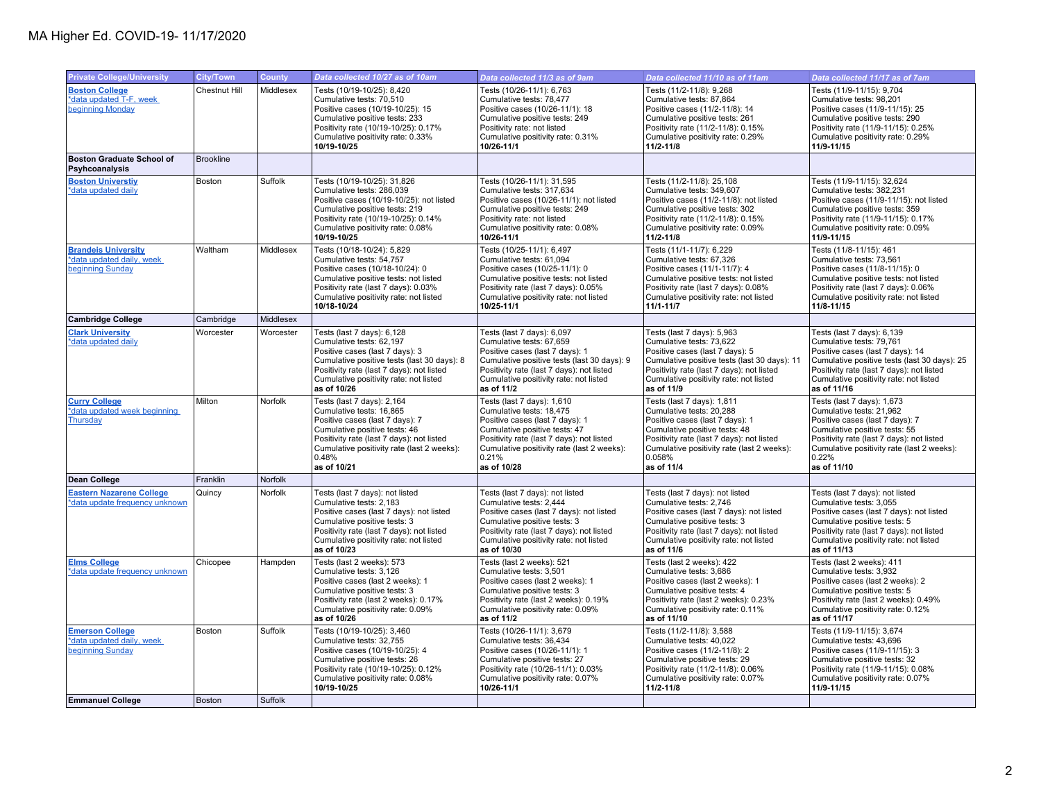| <b>Private College/University</b>                                           | <b>City/Town</b>     | County    | Data collected 10/27 as of 10am                                                                                                                                                                                                                | Data collected 11/3 as of 9am                                                                                                                                                                                                                 | Data collected 11/10 as of 11am                                                                                                                                                                                                                | Data collected 11/17 as of 7am                                                                                                                                                                                                                   |
|-----------------------------------------------------------------------------|----------------------|-----------|------------------------------------------------------------------------------------------------------------------------------------------------------------------------------------------------------------------------------------------------|-----------------------------------------------------------------------------------------------------------------------------------------------------------------------------------------------------------------------------------------------|------------------------------------------------------------------------------------------------------------------------------------------------------------------------------------------------------------------------------------------------|--------------------------------------------------------------------------------------------------------------------------------------------------------------------------------------------------------------------------------------------------|
| <b>Boston College</b><br>*data updated T-F, week<br>beginning Monday        | <b>Chestnut Hill</b> | Middlesex | Tests (10/19-10/25): 8,420<br>Cumulative tests: 70,510<br>Positive cases (10/19-10/25): 15<br>Cumulative positive tests: 233<br>Positivity rate (10/19-10/25): 0.17%<br>Cumulative positivity rate: 0.33%<br>10/19-10/25                       | Tests (10/26-11/1): 6,763<br>Cumulative tests: 78,477<br>Positive cases (10/26-11/1): 18<br>Cumulative positive tests: 249<br>Positivity rate: not listed<br>Cumulative positivity rate: 0.31%<br>10/26-11/1                                  | Tests (11/2-11/8): 9,268<br>Cumulative tests: 87,864<br>Positive cases (11/2-11/8): 14<br>Cumulative positive tests: 261<br>Positivity rate (11/2-11/8): 0.15%<br>Cumulative positivity rate: 0.29%<br>11/2-11/8                               | Tests (11/9-11/15): 9,704<br>Cumulative tests: 98,201<br>Positive cases (11/9-11/15): 25<br>Cumulative positive tests: 290<br>Positivity rate (11/9-11/15): 0.25%<br>Cumulative positivity rate: 0.29%<br>11/9-11/15                             |
| <b>Boston Graduate School of</b><br>Psyhcoanalysis                          | <b>Brookline</b>     |           |                                                                                                                                                                                                                                                |                                                                                                                                                                                                                                               |                                                                                                                                                                                                                                                |                                                                                                                                                                                                                                                  |
| <b>Boston Universtiv</b><br>*data updated daily                             | Boston               | Suffolk   | Tests (10/19-10/25): 31,826<br>Cumulative tests: 286,039<br>Positive cases (10/19-10/25): not listed<br>Cumulative positive tests: 219<br>Positivity rate (10/19-10/25): 0.14%<br>Cumulative positivity rate: 0.08%<br>10/19-10/25             | Tests (10/26-11/1): 31,595<br>Cumulative tests: 317,634<br>Positive cases (10/26-11/1): not listed<br>Cumulative positive tests: 249<br>Positivity rate: not listed<br>Cumulative positivity rate: 0.08%<br>10/26-11/1                        | Tests (11/2-11/8): 25,108<br>Cumulative tests: 349,607<br>Positive cases (11/2-11/8): not listed<br>Cumulative positive tests: 302<br>Positivity rate (11/2-11/8): 0.15%<br>Cumulative positivity rate: 0.09%<br>11/2-11/8                     | Tests (11/9-11/15): 32,624<br>Cumulative tests: 382,231<br>Positive cases (11/9-11/15): not listed<br>Cumulative positive tests: 359<br>Positivity rate (11/9-11/15): 0.17%<br>Cumulative positivity rate: 0.09%<br>11/9-11/15                   |
| <b>Brandeis University</b><br>*data updated daily, week<br>beginning Sunday | Waltham              | Middlesex | Tests (10/18-10/24): 5,829<br>Cumulative tests: 54.757<br>Positive cases (10/18-10/24): 0<br>Cumulative positive tests: not listed<br>Positivity rate (last 7 days): 0.03%<br>Cumulative positivity rate: not listed<br>10/18-10/24            | Tests (10/25-11/1): 6,497<br>Cumulative tests: 61.094<br>Positive cases (10/25-11/1): 0<br>Cumulative positive tests: not listed<br>Positivity rate (last 7 days): 0.05%<br>Cumulative positivity rate: not listed<br>10/25-11/1              | Tests (11/1-11/7): 6,229<br>Cumulative tests: 67.326<br>Positive cases (11/1-11/7): 4<br>Cumulative positive tests: not listed<br>Positivity rate (last 7 days): 0.08%<br>Cumulative positivity rate: not listed<br>$11/1 - 11/7$              | Tests (11/8-11/15): 461<br>Cumulative tests: 73,561<br>Positive cases (11/8-11/15): 0<br>Cumulative positive tests: not listed<br>Positivity rate (last 7 days): 0.06%<br>Cumulative positivity rate: not listed<br>11/8-11/15                   |
| <b>Cambridge College</b>                                                    | Cambridge            | Middlesex |                                                                                                                                                                                                                                                |                                                                                                                                                                                                                                               |                                                                                                                                                                                                                                                |                                                                                                                                                                                                                                                  |
| <b>Clark University</b><br>*data updated daily                              | Worcester            | Worcester | Tests (last 7 days): 6,128<br>Cumulative tests: 62,197<br>Positive cases (last 7 days): 3<br>Cumulative positive tests (last 30 days): 8<br>Positivity rate (last 7 days): not listed<br>Cumulative positivity rate: not listed<br>as of 10/26 | Tests (last 7 days): 6,097<br>Cumulative tests: 67,659<br>Positive cases (last 7 days): 1<br>Cumulative positive tests (last 30 days): 9<br>Positivity rate (last 7 days): not listed<br>Cumulative positivity rate: not listed<br>as of 11/2 | Tests (last 7 days): 5,963<br>Cumulative tests: 73,622<br>Positive cases (last 7 days): 5<br>Cumulative positive tests (last 30 days): 11<br>Positivity rate (last 7 days): not listed<br>Cumulative positivity rate: not listed<br>as of 11/9 | Tests (last 7 days): 6,139<br>Cumulative tests: 79,761<br>Positive cases (last 7 days): 14<br>Cumulative positive tests (last 30 days): 25<br>Positivity rate (last 7 days): not listed<br>Cumulative positivity rate: not listed<br>as of 11/16 |
| <b>Curry College</b><br>*data updated week beginning<br><b>Thursday</b>     | Milton               | Norfolk   | Tests (last 7 days): 2,164<br>Cumulative tests: 16,865<br>Positive cases (last 7 days): 7<br>Cumulative positive tests: 46<br>Positivity rate (last 7 days): not listed<br>Cumulative positivity rate (last 2 weeks):<br>0.48%<br>as of 10/21  | Tests (last 7 days): 1,610<br>Cumulative tests: 18,475<br>Positive cases (last 7 days): 1<br>Cumulative positive tests: 47<br>Positivity rate (last 7 days): not listed<br>Cumulative positivity rate (last 2 weeks):<br>0.21%<br>as of 10/28 | Tests (last 7 days): 1,811<br>Cumulative tests: 20,288<br>Positive cases (last 7 days): 1<br>Cumulative positive tests: 48<br>Positivity rate (last 7 days): not listed<br>Cumulative positivity rate (last 2 weeks):<br>0.058%<br>as of 11/4  | Tests (last 7 days): 1,673<br>Cumulative tests: 21,962<br>Positive cases (last 7 days): 7<br>Cumulative positive tests: 55<br>Positivity rate (last 7 days): not listed<br>Cumulative positivity rate (last 2 weeks):<br>0.22%<br>as of 11/10    |
| Dean College                                                                | Franklin             | Norfolk   |                                                                                                                                                                                                                                                |                                                                                                                                                                                                                                               |                                                                                                                                                                                                                                                |                                                                                                                                                                                                                                                  |
| <b>Eastern Nazarene College</b><br>*data update frequency unknown           | Quincy               | Norfolk   | Tests (last 7 days): not listed<br>Cumulative tests: 2,183<br>Positive cases (last 7 days): not listed<br>Cumulative positive tests: 3<br>Positivity rate (last 7 days): not listed<br>Cumulative positivity rate: not listed<br>as of 10/23   | Tests (last 7 days): not listed<br>Cumulative tests: 2,444<br>Positive cases (last 7 days): not listed<br>Cumulative positive tests: 3<br>Positivity rate (last 7 days): not listed<br>Cumulative positivity rate: not listed<br>as of 10/30  | Tests (last 7 days): not listed<br>Cumulative tests: 2,746<br>Positive cases (last 7 days): not listed<br>Cumulative positive tests: 3<br>Positivity rate (last 7 days): not listed<br>Cumulative positivity rate: not listed<br>as of 11/6    | Tests (last 7 days): not listed<br>Cumulative tests: 3,055<br>Positive cases (last 7 days): not listed<br>Cumulative positive tests: 5<br>Positivity rate (last 7 days): not listed<br>Cumulative positivity rate: not listed<br>as of 11/13     |
| <b>Elms College</b><br>*data update frequency unknown                       | Chicopee             | Hampden   | Tests (last 2 weeks): 573<br>Cumulative tests: 3,126<br>Positive cases (last 2 weeks): 1<br>Cumulative positive tests: 3<br>Positivity rate (last 2 weeks): 0.17%<br>Cumulative positivity rate: 0.09%<br>as of 10/26                          | Tests (last 2 weeks): 521<br>Cumulative tests: 3,501<br>Positive cases (last 2 weeks): 1<br>Cumulative positive tests: 3<br>Positivity rate (last 2 weeks): 0.19%<br>Cumulative positivity rate: 0.09%<br>as of 11/2                          | Tests (last 2 weeks): 422<br>Cumulative tests: 3,686<br>Positive cases (last 2 weeks): 1<br>Cumulative positive tests: 4<br>Positivity rate (last 2 weeks): 0.23%<br>Cumulative positivity rate: 0.11%<br>as of 11/10                          | Tests (last 2 weeks): 411<br>Cumulative tests: 3,932<br>Positive cases (last 2 weeks): 2<br>Cumulative positive tests: 5<br>Positivity rate (last 2 weeks): 0.49%<br>Cumulative positivity rate: 0.12%<br>as of 11/17                            |
| <b>Emerson College</b><br>*data updated daily, week<br>beginning Sunday     | Boston               | Suffolk   | Tests (10/19-10/25): 3,460<br>Cumulative tests: 32,755<br>Positive cases (10/19-10/25): 4<br>Cumulative positive tests: 26<br>Positivity rate (10/19-10/25): 0.12%<br>Cumulative positivity rate: 0.08%<br>10/19-10/25                         | Tests (10/26-11/1): 3,679<br>Cumulative tests: 36,434<br>Positive cases (10/26-11/1): 1<br>Cumulative positive tests: 27<br>Positivity rate (10/26-11/1): 0.03%<br>Cumulative positivity rate: 0.07%<br>10/26-11/1                            | Tests (11/2-11/8): 3,588<br>Cumulative tests: 40,022<br>Positive cases (11/2-11/8): 2<br>Cumulative positive tests: 29<br>Positivity rate (11/2-11/8): 0.06%<br>Cumulative positivity rate: 0.07%<br>11/2-11/8                                 | Tests (11/9-11/15): 3,674<br>Cumulative tests: 43,696<br>Positive cases (11/9-11/15): 3<br>Cumulative positive tests: 32<br>Positivity rate (11/9-11/15): 0.08%<br>Cumulative positivity rate: 0.07%<br>11/9-11/15                               |
| <b>Emmanuel College</b>                                                     | <b>Boston</b>        | Suffolk   |                                                                                                                                                                                                                                                |                                                                                                                                                                                                                                               |                                                                                                                                                                                                                                                |                                                                                                                                                                                                                                                  |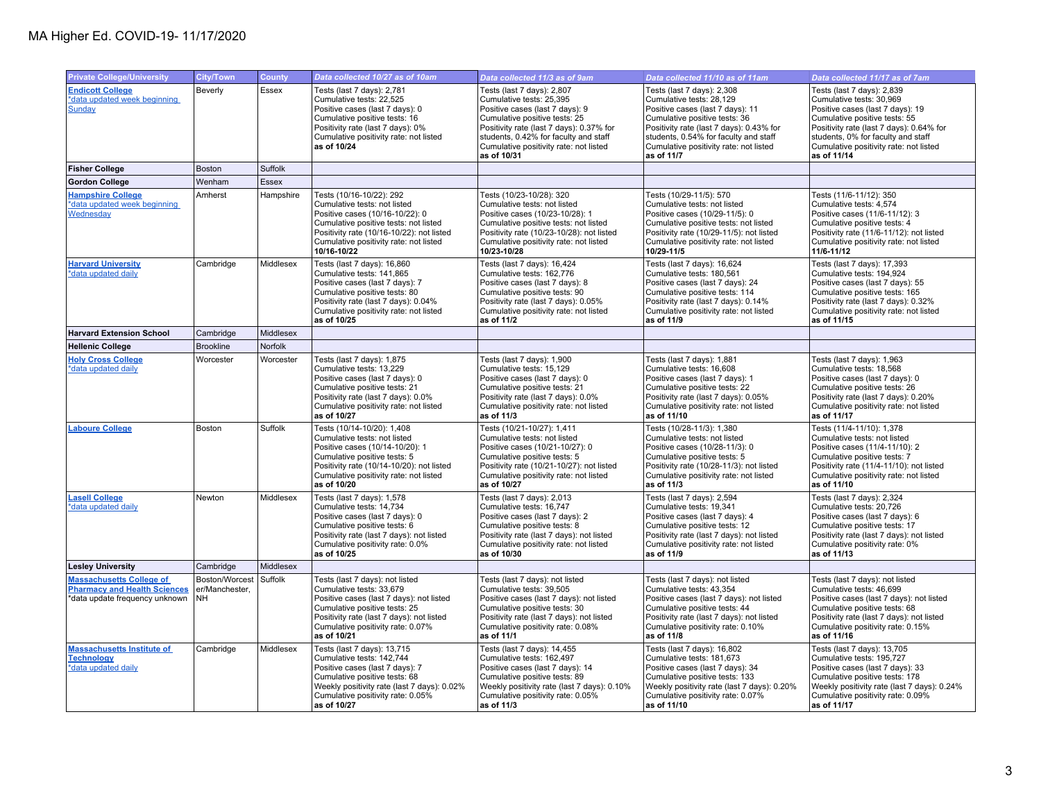| <b>Private College/University</b>                                                                        | <b>City/Town</b>                        | <b>County</b> | Data collected 10/27 as of 10am                                                                                                                                                                                                            | Data collected 11/3 as of 9am                                                                                                                                                                                                                                            | Data collected 11/10 as of 11am                                                                                                                                                                                                                                          | Data collected 11/17 as of 7am                                                                                                                                                                                                                                         |
|----------------------------------------------------------------------------------------------------------|-----------------------------------------|---------------|--------------------------------------------------------------------------------------------------------------------------------------------------------------------------------------------------------------------------------------------|--------------------------------------------------------------------------------------------------------------------------------------------------------------------------------------------------------------------------------------------------------------------------|--------------------------------------------------------------------------------------------------------------------------------------------------------------------------------------------------------------------------------------------------------------------------|------------------------------------------------------------------------------------------------------------------------------------------------------------------------------------------------------------------------------------------------------------------------|
| <b>Endicott College</b><br>*data updated week beginning<br>Sunday                                        | Beverly                                 | Essex         | Tests (last 7 days): 2,781<br>Cumulative tests: 22,525<br>Positive cases (last 7 days): 0<br>Cumulative positive tests: 16<br>Positivity rate (last 7 days): 0%<br>Cumulative positivity rate: not listed<br>as of 10/24                   | Tests (last 7 days): 2,807<br>Cumulative tests: 25,395<br>Positive cases (last 7 days): 9<br>Cumulative positive tests: 25<br>Positivity rate (last 7 days): 0.37% for<br>students, 0.42% for faculty and staff<br>Cumulative positivity rate: not listed<br>as of 10/31 | Tests (last 7 days): 2,308<br>Cumulative tests: 28,129<br>Positive cases (last 7 days): 11<br>Cumulative positive tests: 36<br>Positivity rate (last 7 days): 0.43% for<br>students, 0.54% for faculty and staff<br>Cumulative positivity rate: not listed<br>as of 11/7 | Tests (last 7 days): 2,839<br>Cumulative tests: 30,969<br>Positive cases (last 7 days): 19<br>Cumulative positive tests: 55<br>Positivity rate (last 7 days): 0.64% for<br>students, 0% for faculty and staff<br>Cumulative positivity rate: not listed<br>as of 11/14 |
| <b>Fisher College</b>                                                                                    | Boston                                  | Suffolk       |                                                                                                                                                                                                                                            |                                                                                                                                                                                                                                                                          |                                                                                                                                                                                                                                                                          |                                                                                                                                                                                                                                                                        |
| <b>Gordon College</b>                                                                                    | Wenham                                  | <b>Essex</b>  |                                                                                                                                                                                                                                            |                                                                                                                                                                                                                                                                          |                                                                                                                                                                                                                                                                          |                                                                                                                                                                                                                                                                        |
| <b>Hampshire College</b><br>*data updated week beginning<br>Wednesday                                    | Amherst                                 | Hampshire     | Tests (10/16-10/22): 292<br>Cumulative tests: not listed<br>Positive cases (10/16-10/22): 0<br>Cumulative positive tests: not listed<br>Positivity rate (10/16-10/22): not listed<br>Cumulative positivity rate: not listed<br>10/16-10/22 | Tests (10/23-10/28): 320<br>Cumulative tests: not listed<br>Positive cases (10/23-10/28): 1<br>Cumulative positive tests: not listed<br>Positivity rate (10/23-10/28): not listed<br>Cumulative positivity rate: not listed<br>10/23-10/28                               | Tests (10/29-11/5): 570<br>Cumulative tests: not listed<br>Positive cases (10/29-11/5): 0<br>Cumulative positive tests: not listed<br>Positivity rate (10/29-11/5): not listed<br>Cumulative positivity rate: not listed<br>10/29-11/5                                   | Tests (11/6-11/12): 350<br>Cumulative tests: 4,574<br>Positive cases (11/6-11/12): 3<br>Cumulative positive tests: 4<br>Positivity rate (11/6-11/12): not listed<br>Cumulative positivity rate: not listed<br>11/6-11/12                                               |
| <b>Harvard University</b><br>*data updated daily                                                         | Cambridge                               | Middlesex     | Tests (last 7 days): 16,860<br>Cumulative tests: 141,865<br>Positive cases (last 7 days): 7<br>Cumulative positive tests: 80<br>Positivity rate (last 7 days): 0.04%<br>Cumulative positivity rate: not listed<br>as of 10/25              | Tests (last 7 days): 16,424<br>Cumulative tests: 162,776<br>Positive cases (last 7 days): 8<br>Cumulative positive tests: 90<br>Positivity rate (last 7 days): 0.05%<br>Cumulative positivity rate: not listed<br>as of 11/2                                             | Tests (last 7 days): 16,624<br>Cumulative tests: 180,561<br>Positive cases (last 7 days): 24<br>Cumulative positive tests: 114<br>Positivity rate (last 7 days): 0.14%<br>Cumulative positivity rate: not listed<br>as of 11/9                                           | Tests (last 7 days): 17,393<br>Cumulative tests: 194,924<br>Positive cases (last 7 days): 55<br>Cumulative positive tests: 165<br>Positivity rate (last 7 days): 0.32%<br>Cumulative positivity rate: not listed<br>as of 11/15                                        |
| <b>Harvard Extension School</b>                                                                          | Cambridge                               | Middlesex     |                                                                                                                                                                                                                                            |                                                                                                                                                                                                                                                                          |                                                                                                                                                                                                                                                                          |                                                                                                                                                                                                                                                                        |
| <b>Hellenic College</b>                                                                                  | <b>Brookline</b>                        | Norfolk       |                                                                                                                                                                                                                                            |                                                                                                                                                                                                                                                                          |                                                                                                                                                                                                                                                                          |                                                                                                                                                                                                                                                                        |
| <b>Holy Cross College</b><br>*data updated daily                                                         | Worcester                               | Worcester     | Tests (last 7 days): 1,875<br>Cumulative tests: 13,229<br>Positive cases (last 7 days): 0<br>Cumulative positive tests: 21<br>Positivity rate (last 7 days): 0.0%<br>Cumulative positivity rate: not listed<br>as of 10/27                 | Tests (last 7 days): 1,900<br>Cumulative tests: 15,129<br>Positive cases (last 7 days): 0<br>Cumulative positive tests: 21<br>Positivity rate (last 7 days): 0.0%<br>Cumulative positivity rate: not listed<br>as of 11/3                                                | Tests (last 7 days): 1,881<br>Cumulative tests: 16,608<br>Positive cases (last 7 days): 1<br>Cumulative positive tests: 22<br>Positivity rate (last 7 days): 0.05%<br>Cumulative positivity rate: not listed<br>as of 11/10                                              | Tests (last 7 days): 1,963<br>Cumulative tests: 18,568<br>Positive cases (last 7 days): 0<br>Cumulative positive tests: 26<br>Positivity rate (last 7 days): 0.20%<br>Cumulative positivity rate: not listed<br>as of 11/17                                            |
| <b>Laboure College</b>                                                                                   | Boston                                  | Suffolk       | Tests (10/14-10/20): 1,408<br>Cumulative tests: not listed<br>Positive cases (10/14-10/20): 1<br>Cumulative positive tests: 5<br>Positivity rate (10/14-10/20): not listed<br>Cumulative positivity rate: not listed<br>as of 10/20        | Tests (10/21-10/27): 1,411<br>Cumulative tests: not listed<br>Positive cases (10/21-10/27): 0<br>Cumulative positive tests: 5<br>Positivity rate (10/21-10/27): not listed<br>Cumulative positivity rate: not listed<br>as of 10/27                                      | Tests (10/28-11/3): 1,380<br>Cumulative tests: not listed<br>Positive cases (10/28-11/3): 0<br>Cumulative positive tests: 5<br>Positivity rate (10/28-11/3): not listed<br>Cumulative positivity rate: not listed<br>as of 11/3                                          | Tests (11/4-11/10): 1,378<br>Cumulative tests: not listed<br>Positive cases (11/4-11/10): 2<br>Cumulative positive tests: 7<br>Positivity rate (11/4-11/10): not listed<br>Cumulative positivity rate: not listed<br>as of 11/10                                       |
| <b>Lasell College</b><br>*data updated daily                                                             | Newton                                  | Middlesex     | Tests (last 7 days): 1,578<br>Cumulative tests: 14,734<br>Positive cases (last 7 days): 0<br>Cumulative positive tests: 6<br>Positivity rate (last 7 days): not listed<br>Cumulative positivity rate: 0.0%<br>as of 10/25                  | Tests (last 7 days): 2,013<br>Cumulative tests: 16,747<br>Positive cases (last 7 days): 2<br>Cumulative positive tests: 8<br>Positivity rate (last 7 days): not listed<br>Cumulative positivity rate: not listed<br>as of 10/30                                          | Tests (last 7 days): 2,594<br>Cumulative tests: 19,341<br>Positive cases (last 7 days): 4<br>Cumulative positive tests: 12<br>Positivity rate (last 7 days): not listed<br>Cumulative positivity rate: not listed<br>as of 11/9                                          | Tests (last 7 days): 2,324<br>Cumulative tests: 20,726<br>Positive cases (last 7 days): 6<br>Cumulative positive tests: 17<br>Positivity rate (last 7 days): not listed<br>Cumulative positivity rate: 0%<br>as of 11/13                                               |
| <b>Lesley University</b>                                                                                 | Cambridge                               | Middlesex     |                                                                                                                                                                                                                                            |                                                                                                                                                                                                                                                                          |                                                                                                                                                                                                                                                                          |                                                                                                                                                                                                                                                                        |
| <b>Massachusetts College of</b><br><b>Pharmacy and Health Sciences</b><br>*data update frequency unknown | Boston/Worcest<br>er/Manchester,<br>NH. | Suffolk       | Tests (last 7 days): not listed<br>Cumulative tests: 33,679<br>Positive cases (last 7 days): not listed<br>Cumulative positive tests: 25<br>Positivity rate (last 7 days): not listed<br>Cumulative positivity rate: 0.07%<br>as of 10/21  | Tests (last 7 days): not listed<br>Cumulative tests: 39,505<br>Positive cases (last 7 days): not listed<br>Cumulative positive tests: 30<br>Positivity rate (last 7 days): not listed<br>Cumulative positivity rate: 0.08%<br>as of 11/1                                 | Tests (last 7 days): not listed<br>Cumulative tests: 43,354<br>Positive cases (last 7 days): not listed<br>Cumulative positive tests: 44<br>Positivity rate (last 7 days): not listed<br>Cumulative positivity rate: 0.10%<br>as of 11/8                                 | Tests (last 7 days): not listed<br>Cumulative tests: 46,699<br>Positive cases (last 7 days): not listed<br>Cumulative positive tests: 68<br>Positivity rate (last 7 days): not listed<br>Cumulative positivity rate: 0.15%<br>as of 11/16                              |
| <b>Massachusetts Institute of</b><br><b>Technology</b><br>*data updated daily                            | Cambridge                               | Middlesex     | Tests (last 7 days): 13,715<br>Cumulative tests: 142,744<br>Positive cases (last 7 days): 7<br>Cumulative positive tests: 68<br>Weekly positivity rate (last 7 days): 0.02%<br>Cumulative positivity rate: 0.05%<br>as of 10/27            | Tests (last 7 days): 14,455<br>Cumulative tests: 162,497<br>Positive cases (last 7 days): 14<br>Cumulative positive tests: 89<br>Weekly positivity rate (last 7 days): 0.10%<br>Cumulative positivity rate: 0.05%<br>as of 11/3                                          | Tests (last 7 days): 16,802<br>Cumulative tests: 181,673<br>Positive cases (last 7 days): 34<br>Cumulative positive tests: 133<br>Weekly positivity rate (last 7 days): 0.20%<br>Cumulative positivity rate: 0.07%<br>as of 11/10                                        | Tests (last 7 days): 13,705<br>Cumulative tests: 195,727<br>Positive cases (last 7 days): 33<br>Cumulative positive tests: 178<br>Weekly positivity rate (last 7 days): 0.24%<br>Cumulative positivity rate: 0.09%<br>as of 11/17                                      |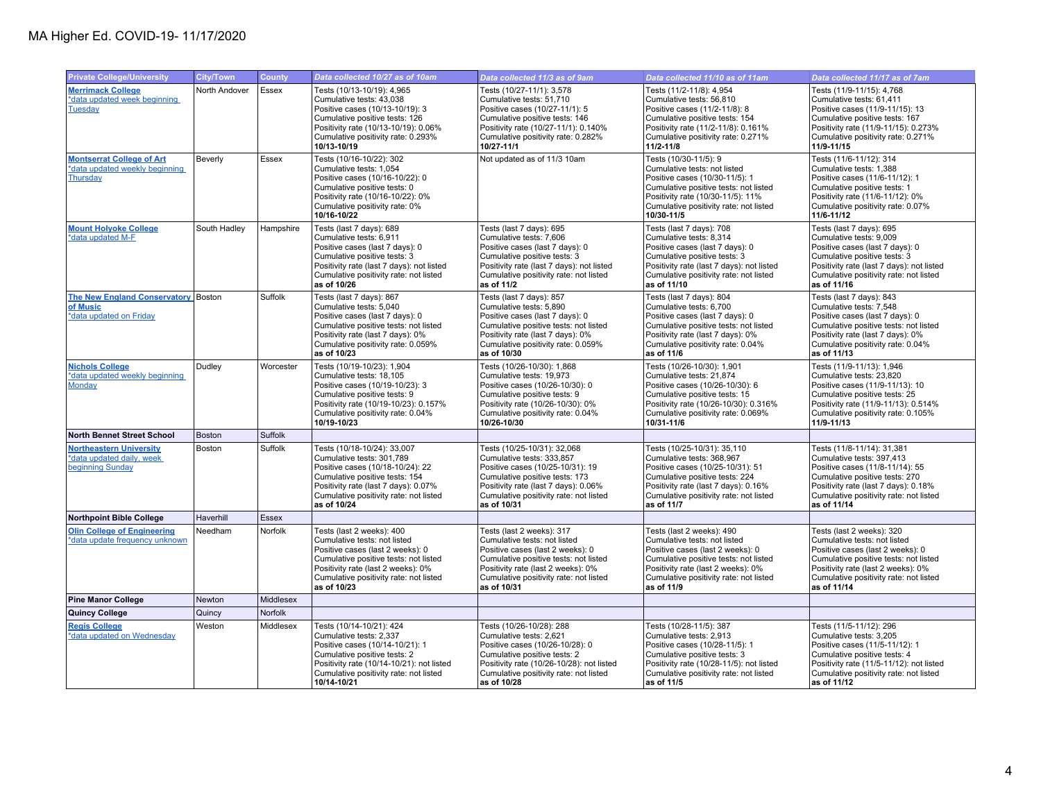| <b>Private College/University</b>                                               | <b>City/Town</b> | <b>County</b> | Data collected 10/27 as of 10am                                                                                                                                                                                                       | Data collected 11/3 as of 9am                                                                                                                                                                                                         | Data collected 11/10 as of 11am                                                                                                                                                                                                      | Data collected 11/17 as of 7am                                                                                                                                                                                                        |
|---------------------------------------------------------------------------------|------------------|---------------|---------------------------------------------------------------------------------------------------------------------------------------------------------------------------------------------------------------------------------------|---------------------------------------------------------------------------------------------------------------------------------------------------------------------------------------------------------------------------------------|--------------------------------------------------------------------------------------------------------------------------------------------------------------------------------------------------------------------------------------|---------------------------------------------------------------------------------------------------------------------------------------------------------------------------------------------------------------------------------------|
| <b>Merrimack College</b><br>*data updated week beginning<br><b>Tuesday</b>      | North Andover    | Essex         | Tests (10/13-10/19): 4,965<br>Cumulative tests: 43,038<br>Positive cases (10/13-10/19): 3<br>Cumulative positive tests: 126<br>Positivity rate (10/13-10/19): 0.06%<br>Cumulative positivity rate: 0.293%<br>10/13-10/19              | Tests (10/27-11/1): 3,578<br>Cumulative tests: 51,710<br>Positive cases (10/27-11/1): 5<br>Cumulative positive tests: 146<br>Positivity rate (10/27-11/1): 0.140%<br>Cumulative positivity rate: 0.282%<br>10/27-11/1                 | Tests (11/2-11/8): 4,954<br>Cumulative tests: 56,810<br>Positive cases (11/2-11/8): 8<br>Cumulative positive tests: 154<br>Positivity rate (11/2-11/8): 0.161%<br>Cumulative positivity rate: 0.271%<br>11/2-11/8                    | Tests (11/9-11/15): 4,768<br>Cumulative tests: 61,411<br>Positive cases (11/9-11/15): 13<br>Cumulative positive tests: 167<br>Positivity rate (11/9-11/15): 0.273%<br>Cumulative positivity rate: 0.271%<br>11/9-11/15                |
| <b>Montserrat College of Art</b><br>*data updated weekly beginning<br>Thursday  | Beverly          | Essex         | Tests (10/16-10/22): 302<br>Cumulative tests: 1,054<br>Positive cases (10/16-10/22): 0<br>Cumulative positive tests: 0<br>Positivity rate (10/16-10/22): 0%<br>Cumulative positivity rate: 0%<br>10/16-10/22                          | Not updated as of 11/3 10am                                                                                                                                                                                                           | Tests (10/30-11/5): 9<br>Cumulative tests: not listed<br>Positive cases (10/30-11/5): 1<br>Cumulative positive tests: not listed<br>Positivity rate (10/30-11/5): 11%<br>Cumulative positivity rate: not listed<br>10/30-11/5        | Tests (11/6-11/12): 314<br>Cumulative tests: 1,388<br>Positive cases (11/6-11/12): 1<br>Cumulative positive tests: 1<br>Positivity rate (11/6-11/12): 0%<br>Cumulative positivity rate: 0.07%<br>11/6-11/12                           |
| <b>Mount Holyoke College</b><br>*data updated M-F                               | South Hadley     | Hampshire     | Tests (last 7 days): 689<br>Cumulative tests: 6,911<br>Positive cases (last 7 days): 0<br>Cumulative positive tests: 3<br>Positivity rate (last 7 days): not listed<br>Cumulative positivity rate: not listed<br>as of 10/26          | Tests (last 7 days): 695<br>Cumulative tests: 7,606<br>Positive cases (last 7 days): 0<br>Cumulative positive tests: 3<br>Positivity rate (last 7 days): not listed<br>Cumulative positivity rate: not listed<br>as of 11/2           | Tests (last 7 days): 708<br>Cumulative tests: 8,314<br>Positive cases (last 7 days): 0<br>Cumulative positive tests: 3<br>Positivity rate (last 7 days): not listed<br>Cumulative positivity rate: not listed<br>as of 11/10         | Tests (last 7 days): 695<br>Cumulative tests: 9,009<br>Positive cases (last 7 days): 0<br>Cumulative positive tests: 3<br>Positivity rate (last 7 days): not listed<br>Cumulative positivity rate: not listed<br>as of 11/16          |
| The New England Conservatory Boston<br>of Music<br>*data updated on Friday      |                  | Suffolk       | Tests (last 7 days): 867<br>Cumulative tests: 5,040<br>Positive cases (last 7 days): 0<br>Cumulative positive tests: not listed<br>Positivity rate (last 7 days): 0%<br>Cumulative positivity rate: 0.059%<br>as of 10/23             | Tests (last 7 days): 857<br>Cumulative tests: 5,890<br>Positive cases (last 7 days): 0<br>Cumulative positive tests: not listed<br>Positivity rate (last 7 days): 0%<br>Cumulative positivity rate: 0.059%<br>as of 10/30             | Tests (last 7 days): 804<br>Cumulative tests: 6,700<br>Positive cases (last 7 days): 0<br>Cumulative positive tests: not listed<br>Positivity rate (last 7 days): 0%<br>Cumulative positivity rate: 0.04%<br>as of 11/6              | Tests (last 7 days): 843<br>Cumulative tests: 7,548<br>Positive cases (last 7 days): 0<br>Cumulative positive tests: not listed<br>Positivity rate (last 7 days): 0%<br>Cumulative positivity rate: 0.04%<br>as of 11/13              |
| <b>Nichols College</b><br>*data updated weekly beginning<br><b>Monday</b>       | Dudley           | Worcester     | Tests (10/19-10/23): 1,904<br>Cumulative tests: 18,105<br>Positive cases (10/19-10/23): 3<br>Cumulative positive tests: 9<br>Positivity rate (10/19-10/23): 0.157%<br>Cumulative positivity rate: 0.04%<br>10/19-10/23                | Tests (10/26-10/30): 1,868<br>Cumulative tests: 19,973<br>Positive cases (10/26-10/30): 0<br>Cumulative positive tests: 9<br>Positivity rate (10/26-10/30): 0%<br>Cumulative positivity rate: 0.04%<br>10/26-10/30                    | Tests (10/26-10/30): 1,901<br>Cumulative tests: 21,874<br>Positive cases (10/26-10/30): 6<br>Cumulative positive tests: 15<br>Positivity rate (10/26-10/30): 0.316%<br>Cumulative positivity rate: 0.069%<br>10/31-11/6              | Tests (11/9-11/13): 1,946<br>Cumulative tests: 23,820<br>Positive cases (11/9-11/13): 10<br>Cumulative positive tests: 25<br>Positivity rate (11/9-11/13): 0.514%<br>Cumulative positivity rate: 0.105%<br>11/9-11/13                 |
| <b>North Bennet Street School</b>                                               | <b>Boston</b>    | Suffolk       |                                                                                                                                                                                                                                       |                                                                                                                                                                                                                                       |                                                                                                                                                                                                                                      |                                                                                                                                                                                                                                       |
| <b>Northeastern University</b><br>*data updated daily, week<br>beginning Sunday | Boston           | Suffolk       | Tests (10/18-10/24): 33,007<br>Cumulative tests: 301,789<br>Positive cases (10/18-10/24): 22<br>Cumulative positive tests: 154<br>Positivity rate (last 7 days): 0.07%<br>Cumulative positivity rate: not listed<br>as of 10/24       | Tests (10/25-10/31): 32,068<br>Cumulative tests: 333,857<br>Positive cases (10/25-10/31): 19<br>Cumulative positive tests: 173<br>Positivity rate (last 7 days): 0.06%<br>Cumulative positivity rate: not listed<br>as of 10/31       | Tests (10/25-10/31): 35,110<br>Cumulative tests: 368,967<br>Positive cases (10/25-10/31): 51<br>Cumulative positive tests: 224<br>Positivity rate (last 7 days): 0.16%<br>Cumulative positivity rate: not listed<br>as of 11/7       | Tests (11/8-11/14): 31,381<br>Cumulative tests: 397,413<br>Positive cases (11/8-11/14): 55<br>Cumulative positive tests: 270<br>Positivity rate (last 7 days): 0.18%<br>Cumulative positivity rate: not listed<br>as of 11/14         |
| <b>Northpoint Bible College</b>                                                 | Haverhill        | Essex         |                                                                                                                                                                                                                                       |                                                                                                                                                                                                                                       |                                                                                                                                                                                                                                      |                                                                                                                                                                                                                                       |
| <b>Olin College of Engineering</b><br>*data update frequency unknown            | Needham          | Norfolk       | Tests (last 2 weeks): 400<br>Cumulative tests: not listed<br>Positive cases (last 2 weeks): 0<br>Cumulative positive tests: not listed<br>Positivity rate (last 2 weeks): 0%<br>Cumulative positivity rate: not listed<br>as of 10/23 | Tests (last 2 weeks): 317<br>Cumulative tests: not listed<br>Positive cases (last 2 weeks): 0<br>Cumulative positive tests: not listed<br>Positivity rate (last 2 weeks): 0%<br>Cumulative positivity rate: not listed<br>as of 10/31 | Tests (last 2 weeks): 490<br>Cumulative tests: not listed<br>Positive cases (last 2 weeks): 0<br>Cumulative positive tests: not listed<br>Positivity rate (last 2 weeks): 0%<br>Cumulative positivity rate: not listed<br>as of 11/9 | Tests (last 2 weeks): 320<br>Cumulative tests: not listed<br>Positive cases (last 2 weeks): 0<br>Cumulative positive tests: not listed<br>Positivity rate (last 2 weeks): 0%<br>Cumulative positivity rate: not listed<br>as of 11/14 |
| <b>Pine Manor College</b>                                                       | Newton           | Middlesex     |                                                                                                                                                                                                                                       |                                                                                                                                                                                                                                       |                                                                                                                                                                                                                                      |                                                                                                                                                                                                                                       |
| <b>Quincy College</b>                                                           | Quincy           | Norfolk       |                                                                                                                                                                                                                                       |                                                                                                                                                                                                                                       |                                                                                                                                                                                                                                      |                                                                                                                                                                                                                                       |
| <b>Regis College</b><br>*data updated on Wednesday                              | Weston           | Middlesex     | Tests (10/14-10/21): 424<br>Cumulative tests: 2,337<br>Positive cases (10/14-10/21): 1<br>Cumulative positive tests: 2<br>Positivity rate (10/14-10/21): not listed<br>Cumulative positivity rate: not listed<br>10/14-10/21          | Tests (10/26-10/28): 288<br>Cumulative tests: 2,621<br>Positive cases (10/26-10/28): 0<br>Cumulative positive tests: 2<br>Positivity rate (10/26-10/28): not listed<br>Cumulative positivity rate: not listed<br>as of 10/28          | Tests (10/28-11/5): 387<br>Cumulative tests: 2,913<br>Positive cases (10/28-11/5): 1<br>Cumulative positive tests: 3<br>Positivity rate (10/28-11/5): not listed<br>Cumulative positivity rate: not listed<br>as of 11/5             | Tests (11/5-11/12): 296<br>Cumulative tests: 3,205<br>Positive cases (11/5-11/12): 1<br>Cumulative positive tests: 4<br>Positivity rate (11/5-11/12): not listed<br>Cumulative positivity rate: not listed<br>as of 11/12             |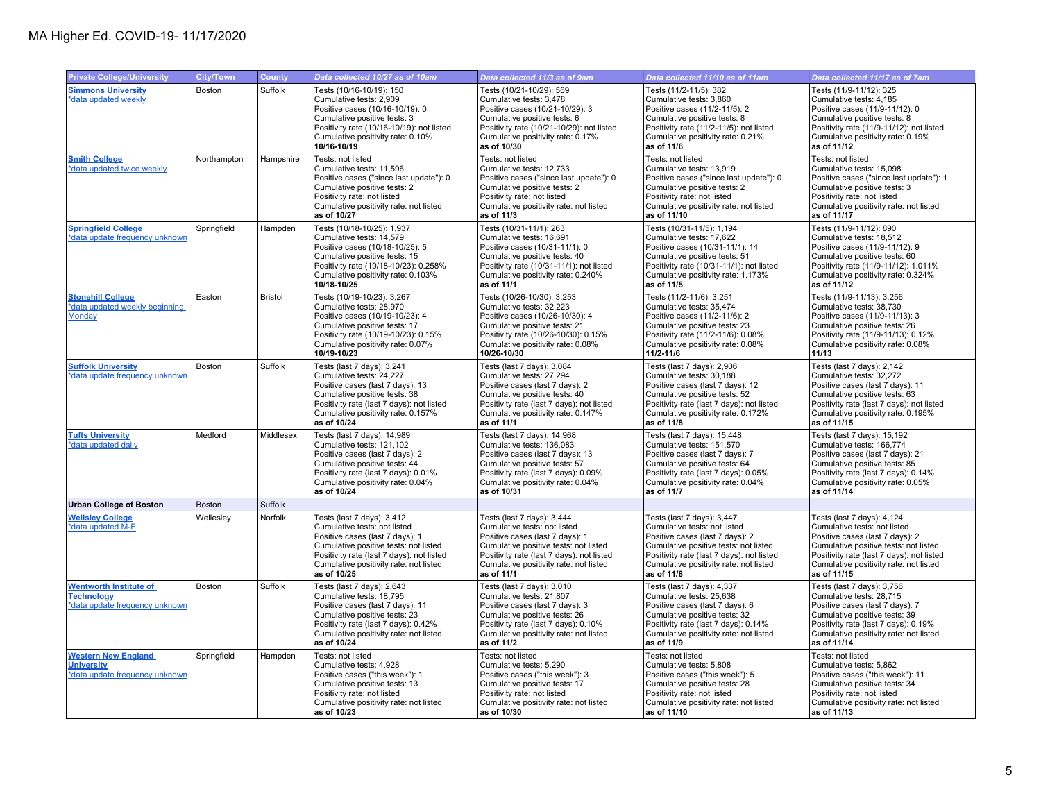| <b>Private College/University</b>                                                    | City/Town   | <b>County</b>  | Data collected 10/27 as of 10am                                                                                                                                                                                                              | Data collected 11/3 as of 9am                                                                                                                                                                                                               | Data collected 11/10 as of 11am                                                                                                                                                                                                             | Data collected 11/17 as of 7am                                                                                                                                                                                                               |
|--------------------------------------------------------------------------------------|-------------|----------------|----------------------------------------------------------------------------------------------------------------------------------------------------------------------------------------------------------------------------------------------|---------------------------------------------------------------------------------------------------------------------------------------------------------------------------------------------------------------------------------------------|---------------------------------------------------------------------------------------------------------------------------------------------------------------------------------------------------------------------------------------------|----------------------------------------------------------------------------------------------------------------------------------------------------------------------------------------------------------------------------------------------|
| <b>Simmons University</b><br>*data updated weekly                                    | Boston      | Suffolk        | Tests (10/16-10/19): 150<br>Cumulative tests: 2,909<br>Positive cases (10/16-10/19): 0<br>Cumulative positive tests: 3<br>Positivity rate (10/16-10/19): not listed<br>Cumulative positivity rate: 0.10%<br>10/16-10/19                      | Tests (10/21-10/29): 569<br>Cumulative tests: 3,478<br>Positive cases (10/21-10/29): 3<br>Cumulative positive tests: 6<br>Positivity rate (10/21-10/29): not listed<br>Cumulative positivity rate: 0.17%<br>as of 10/30                     | Tests (11/2-11/5): 382<br>Cumulative tests: 3,860<br>Positive cases (11/2-11/5): 2<br>Cumulative positive tests: 8<br>Positivity rate (11/2-11/5): not listed<br>Cumulative positivity rate: 0.21%<br>as of 11/6                            | Tests (11/9-11/12): 325<br>Cumulative tests: 4,185<br>Positive cases (11/9-11/12): 0<br>Cumulative positive tests: 8<br>Positivity rate (11/9-11/12): not listed<br>Cumulative positivity rate: 0.19%<br>as of 11/12                         |
| <b>Smith College</b><br>*data updated twice weekly                                   | Northampton | Hampshire      | Tests: not listed<br>Cumulative tests: 11,596<br>Positive cases ("since last update"): 0<br>Cumulative positive tests: 2<br>Positivity rate: not listed<br>Cumulative positivity rate: not listed<br>as of 10/27                             | Tests: not listed<br>Cumulative tests: 12,733<br>Positive cases ("since last update"): 0<br>Cumulative positive tests: 2<br>Positivity rate: not listed<br>Cumulative positivity rate: not listed<br>as of 11/3                             | Tests: not listed<br>Cumulative tests: 13.919<br>Positive cases ("since last update"): 0<br>Cumulative positive tests: 2<br>Positivity rate: not listed<br>Cumulative positivity rate: not listed<br>as of 11/10                            | Tests: not listed<br>Cumulative tests: 15,098<br>Positive cases ("since last update"): 1<br>Cumulative positive tests: 3<br>Positivity rate: not listed<br>Cumulative positivity rate: not listed<br>as of 11/17                             |
| <b>Springfield College</b><br>*data update frequency unknown                         | Springfield | Hampden        | Tests (10/18-10/25): 1,937<br>Cumulative tests: 14,579<br>Positive cases (10/18-10/25): 5<br>Cumulative positive tests: 15<br>Positivity rate (10/18-10/23): 0.258%<br>Cumulative positivity rate: 0.103%<br>10/18-10/25                     | Tests (10/31-11/1): 263<br>Cumulative tests: 16,691<br>Positive cases (10/31-11/1): 0<br>Cumulative positive tests: 40<br>Positivity rate (10/31-11/1): not listed<br>Cumulative positivity rate: 0.240%<br>as of 11/1                      | Tests (10/31-11/5): 1,194<br>Cumulative tests: 17,622<br>Positive cases (10/31-11/1): 14<br>Cumulative positive tests: 51<br>Positivity rate (10/31-11/1): not listed<br>Cumulative positivity rate: 1.173%<br>as of 11/5                   | Tests (11/9-11/12): 890<br>Cumulative tests: 18,512<br>Positive cases (11/9-11/12): 9<br>Cumulative positive tests: 60<br>Positivity rate (11/9-11/12): 1.011%<br>Cumulative positivity rate: 0.324%<br>as of 11/12                          |
| <b>Stonehill College</b><br>*data updated weekly beginning<br>Monday                 | Easton      | <b>Bristol</b> | Tests (10/19-10/23): 3,267<br>Cumulative tests: 28,970<br>Positive cases (10/19-10/23): 4<br>Cumulative positive tests: 17<br>Positivity rate (10/19-10/23): 0.15%<br>Cumulative positivity rate: 0.07%<br>10/19-10/23                       | Tests (10/26-10/30): 3,253<br>Cumulative tests: 32,223<br>Positive cases (10/26-10/30): 4<br>Cumulative positive tests: 21<br>Positivity rate (10/26-10/30): 0.15%<br>Cumulative positivity rate: 0.08%<br>10/26-10/30                      | Tests (11/2-11/6): 3,251<br>Cumulative tests: 35,474<br>Positive cases (11/2-11/6): 2<br>Cumulative positive tests: 23<br>Positivity rate (11/2-11/6): 0.08%<br>Cumulative positivity rate: 0.08%<br>11/2-11/6                              | Tests (11/9-11/13): 3,256<br>Cumulative tests: 38,730<br>Positive cases (11/9-11/13): 3<br>Cumulative positive tests: 26<br>Positivity rate (11/9-11/13): 0.12%<br>Cumulative positivity rate: 0.08%<br>11/13                                |
| <b>Suffolk University</b><br>data update frequency unknown                           | Boston      | Suffolk        | Tests (last 7 days): 3,241<br>Cumulative tests: 24,227<br>Positive cases (last 7 days): 13<br>Cumulative positive tests: 38<br>Positivity rate (last 7 days): not listed<br>Cumulative positivity rate: 0.157%<br>as of 10/24                | Tests (last 7 days): 3,084<br>Cumulative tests: 27,294<br>Positive cases (last 7 days): 2<br>Cumulative positive tests: 40<br>Positivity rate (last 7 days): not listed<br>Cumulative positivity rate: 0.147%<br>as of 11/1                 | Tests (last 7 days): 2,906<br>Cumulative tests: 30,188<br>Positive cases (last 7 days): 12<br>Cumulative positive tests: 52<br>Positivity rate (last 7 days): not listed<br>Cumulative positivity rate: 0.172%<br>as of 11/8                | Tests (last 7 days): 2,142<br>Cumulative tests: 32,272<br>Positive cases (last 7 days): 11<br>Cumulative positive tests: 63<br>Positivity rate (last 7 days): not listed<br>Cumulative positivity rate: 0.195%<br>as of 11/15                |
| <b>Tufts University</b><br>*data updated daily                                       | Medford     | Middlesex      | Tests (last 7 days): 14,989<br>Cumulative tests: 121,102<br>Positive cases (last 7 days): 2<br>Cumulative positive tests: 44<br>Positivity rate (last 7 days): 0.01%<br>Cumulative positivity rate: 0.04%<br>as of 10/24                     | Tests (last 7 days): 14,968<br>Cumulative tests: 136,083<br>Positive cases (last 7 days): 13<br>Cumulative positive tests: 57<br>Positivity rate (last 7 days): 0.09%<br>Cumulative positivity rate: 0.04%<br>as of 10/31                   | Tests (last 7 days): 15,448<br>Cumulative tests: 151,570<br>Positive cases (last 7 days): 7<br>Cumulative positive tests: 64<br>Positivity rate (last 7 days): 0.05%<br>Cumulative positivity rate: 0.04%<br>as of 11/7                     | Tests (last 7 days): 15,192<br>Cumulative tests: 166,774<br>Positive cases (last 7 days): 21<br>Cumulative positive tests: 85<br>Positivity rate (last 7 days): 0.14%<br>Cumulative positivity rate: 0.05%<br>as of 11/14                    |
| <b>Urban College of Boston</b>                                                       | Boston      | Suffolk        |                                                                                                                                                                                                                                              |                                                                                                                                                                                                                                             |                                                                                                                                                                                                                                             |                                                                                                                                                                                                                                              |
| <b>Wellsley College</b><br>*data updated M-F                                         | Wellesley   | Norfolk        | Tests (last 7 days): 3,412<br>Cumulative tests: not listed<br>Positive cases (last 7 days): 1<br>Cumulative positive tests: not listed<br>Positivity rate (last 7 days): not listed<br>Cumulative positivity rate: not listed<br>as of 10/25 | Tests (last 7 days): 3,444<br>Cumulative tests: not listed<br>Positive cases (last 7 days): 1<br>Cumulative positive tests: not listed<br>Positivity rate (last 7 days): not listed<br>Cumulative positivity rate: not listed<br>as of 11/1 | Tests (last 7 days): 3,447<br>Cumulative tests: not listed<br>Positive cases (last 7 days): 2<br>Cumulative positive tests: not listed<br>Positivity rate (last 7 days): not listed<br>Cumulative positivity rate: not listed<br>as of 11/8 | Tests (last 7 days): 4,124<br>Cumulative tests: not listed<br>Positive cases (last 7 days): 2<br>Cumulative positive tests: not listed<br>Positivity rate (last 7 days): not listed<br>Cumulative positivity rate: not listed<br>as of 11/15 |
| <b>Wentworth Institute of</b><br><b>Technology</b><br>*data update frequency unknown | Boston      | Suffolk        | Tests (last 7 days): 2,643<br>Cumulative tests: 18,795<br>Positive cases (last 7 days): 11<br>Cumulative positive tests: 23<br>Positivity rate (last 7 days): 0.42%<br>Cumulative positivity rate: not listed<br>as of 10/24                 | Tests (last 7 days): 3,010<br>Cumulative tests: 21,807<br>Positive cases (last 7 days): 3<br>Cumulative positive tests: 26<br>Positivity rate (last 7 days): 0.10%<br>Cumulative positivity rate: not listed<br>as of 11/2                  | Tests (last 7 days): 4,337<br>Cumulative tests: 25,638<br>Positive cases (last 7 days): 6<br>Cumulative positive tests: 32<br>Positivity rate (last 7 days): 0.14%<br>Cumulative positivity rate: not listed<br>as of 11/9                  | Tests (last 7 days): 3,756<br>Cumulative tests: 28,715<br>Positive cases (last 7 days): 7<br>Cumulative positive tests: 39<br>Positivity rate (last 7 days): 0.19%<br>Cumulative positivity rate: not listed<br>as of 11/14                  |
| <b>Western New England</b><br><b>University</b><br>*data update frequency unknown    | Springfield | Hampden        | Tests: not listed<br>Cumulative tests: 4,928<br>Positive cases ("this week"): 1<br>Cumulative positive tests: 13<br>Positivity rate: not listed<br>Cumulative positivity rate: not listed<br>as of 10/23                                     | Tests: not listed<br>Cumulative tests: 5,290<br>Positive cases ("this week"): 3<br>Cumulative positive tests: 17<br>Positivity rate: not listed<br>Cumulative positivity rate: not listed<br>as of 10/30                                    | Tests: not listed<br>Cumulative tests: 5,808<br>Positive cases ("this week"): 5<br>Cumulative positive tests: 28<br>Positivity rate: not listed<br>Cumulative positivity rate: not listed<br>as of 11/10                                    | Tests: not listed<br>Cumulative tests: 5,862<br>Positive cases ("this week"): 11<br>Cumulative positive tests: 34<br>Positivity rate: not listed<br>Cumulative positivity rate: not listed<br>as of 11/13                                    |